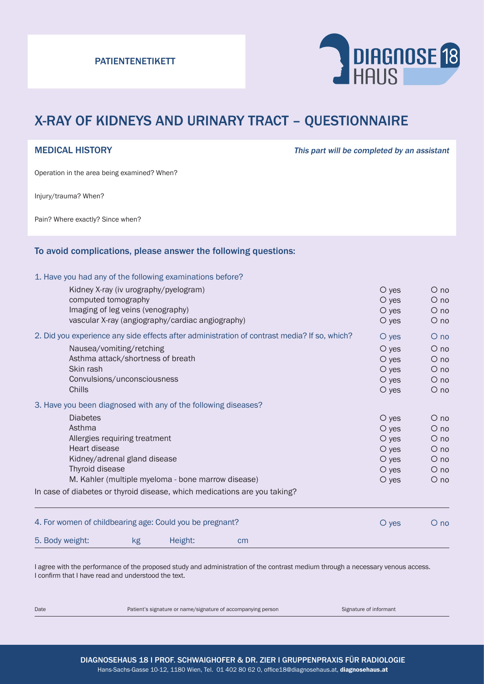

# X-RAY OF KIDNEYS AND URINARY TRACT – QUESTIONNAIRE

MEDICAL HISTORY **This part will be completed by an assistant** 

Operation in the area being examined? When?

Injury/trauma? When?

Pain? Where exactly? Since when?

#### To avoid complications, please answer the following questions:

#### 1. Have you had any of the following examinations before?

| 5. Body weight:                                                                                       | kg                                    | Height:                                          | cm                                                                        |  |                    |                      |
|-------------------------------------------------------------------------------------------------------|---------------------------------------|--------------------------------------------------|---------------------------------------------------------------------------|--|--------------------|----------------------|
| 4. For women of childbearing age: Could you be pregnant?                                              |                                       |                                                  |                                                                           |  | O yes              | $\overline{O}$ no    |
|                                                                                                       |                                       |                                                  | In case of diabetes or thyroid disease, which medications are you taking? |  |                    |                      |
| Kidney/adrenal gland disease<br>Thyroid disease<br>M. Kahler (multiple myeloma - bone marrow disease) |                                       |                                                  |                                                                           |  | $O$ yes            | $\circ$ no           |
|                                                                                                       |                                       |                                                  |                                                                           |  | $\circ$ yes        | $O$ no               |
|                                                                                                       |                                       |                                                  |                                                                           |  | $O$ yes            | $\circ$ no           |
| Heart disease                                                                                         |                                       |                                                  |                                                                           |  | $O$ yes            | $\circ$ no           |
| Allergies requiring treatment                                                                         |                                       |                                                  |                                                                           |  | $O$ yes            | $\circ$ no           |
| <b>Diabetes</b><br>Asthma                                                                             |                                       |                                                  |                                                                           |  | O yes<br>$O$ yes   | $O$ no<br>$O$ no     |
| 3. Have you been diagnosed with any of the following diseases?                                        |                                       |                                                  |                                                                           |  |                    |                      |
|                                                                                                       |                                       |                                                  |                                                                           |  |                    |                      |
| Chills                                                                                                |                                       |                                                  |                                                                           |  | $O$ yes<br>$O$ yes | $O$ no               |
| Skin rash                                                                                             | Convulsions/unconsciousness           |                                                  |                                                                           |  | $O$ yes            | $\circ$ no<br>$O$ no |
|                                                                                                       | Asthma attack/shortness of breath     |                                                  |                                                                           |  | $O$ yes            | $O$ no               |
|                                                                                                       | Nausea/vomiting/retching              |                                                  |                                                                           |  | $\circ$ yes        | $O$ no               |
| 2. Did you experience any side effects after administration of contrast media? If so, which?          |                                       |                                                  |                                                                           |  | O yes              | $O$ no               |
|                                                                                                       |                                       | vascular X-ray (angiography/cardiac angiography) |                                                                           |  | $O$ yes            | $\circ$ no           |
|                                                                                                       | Imaging of leg veins (venography)     |                                                  |                                                                           |  | $O$ yes            | $\circ$ no           |
| computed tomography                                                                                   |                                       |                                                  |                                                                           |  | $O$ yes            | $O$ no               |
|                                                                                                       | Kidney X-ray (iv urography/pyelogram) |                                                  |                                                                           |  | $\circ$ yes        | $\circ$ no           |

I agree with the performance of the proposed study and administration of the contrast medium through a necessary venous access. I confirm that I have read and understood the text.

Date **Patient's signature or name/signature of accompanying person** Signature of informant